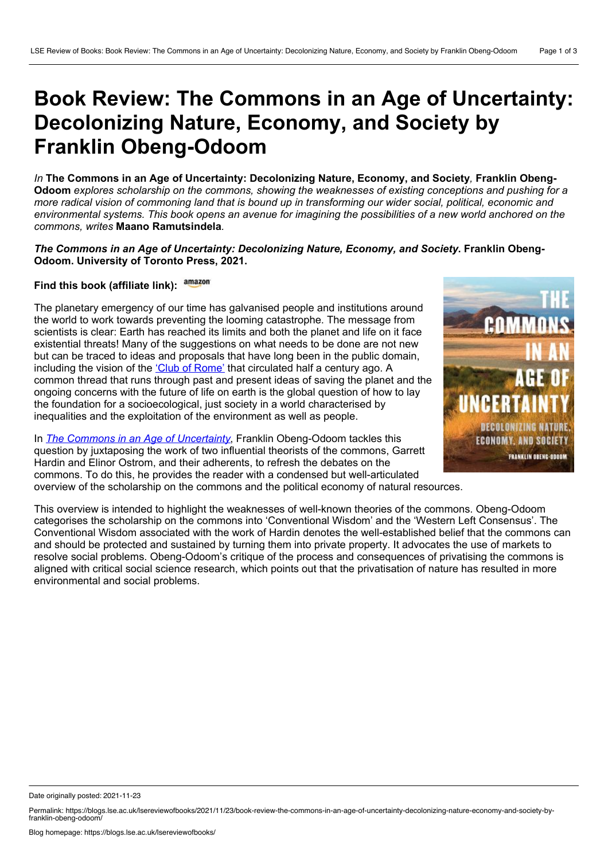## **Book Review: The Commons in an Age of Uncertainty: Decolonizing Nature, Economy, and Society by Franklin Obeng-Odoom**

*In* **The Commons in an Age of Uncertainty: Decolonizing Nature, Economy, and Society***,* **Franklin Obeng- Odoom** *explores scholarship on the commons, showing the weaknesses of existing conceptions and pushing for a* more radical vision of commoning land that is bound up in transforming our wider social, political, economic and environmental systems. This book opens an avenue for imagining the possibilities of a new world anchored on the *commons, writes* **Maano Ramutsindela***.*

## *The Commons in an Age of Uncertainty: Decolonizing Nature, Economy, and Society***. Franklin Obeng- Odoom. University of Toronto Press, 2021.**

## **Find this book (affiliate link):**

The planetary emergency of our time has galvanised people and institutions around the world to work towards preventing the looming catastrophe. The message from scientists is clear: Earth has reached its limits and both the planet and life on it face existential threats! Many of the suggestions on what needs to be done are not new but can be traced to ideas and proposals that have long been in the public domain, including the vision of the 'Club of [Rome'](https://np4sd.org/nominees/club-of-rome/) that circulated half a century ago. A common thread that runs through past and present ideas of saving the planet and the ongoing concerns with the future of life on earth is the global question of how to lay the foundation for a socioecological, just society in a world characterised by inequalities and the exploitation of the environment as well as people.

In *The Commons in an Age of [Uncertainty](https://utorontopress.com/9781487513900/the-commons-in-an-age-of-uncertainty/)*, Franklin Obeng-Odoom tackles this question by juxtaposing the work of two influential theorists of the commons, Garrett Hardin and Elinor Ostrom, and their adherents, to refresh the debates on the commons. To do this, he provides the reader with a condensed but well-articulated overview of the scholarship on the commons and the political economy of natural resources.



This overview is intended to highlight the weaknesses of well-known theories of the commons. Obeng-Odoom categorises the scholarship on the commons into 'Conventional Wisdom' and the 'Western Left Consensus'. The Conventional Wisdom associated with the work of Hardin denotes the well-established belief that the commons can and should be protected and sustained by turning them into private property. It advocates the use of markets to resolve social problems. Obeng-Odoom's critique of the process and consequences of privatising the commons is aligned with critical social science research, which points out that the privatisation of nature has resulted in more environmental and social problems.

Date originally posted: 2021-11-23

Permalink: https://blogs.lse.ac.uk/lsereviewofbooks/2021/11/23/book-review-the-commons-in-an-age-of-uncertainty-decolonizing-nature-economy-and-society-byfranklin-obeng-odoom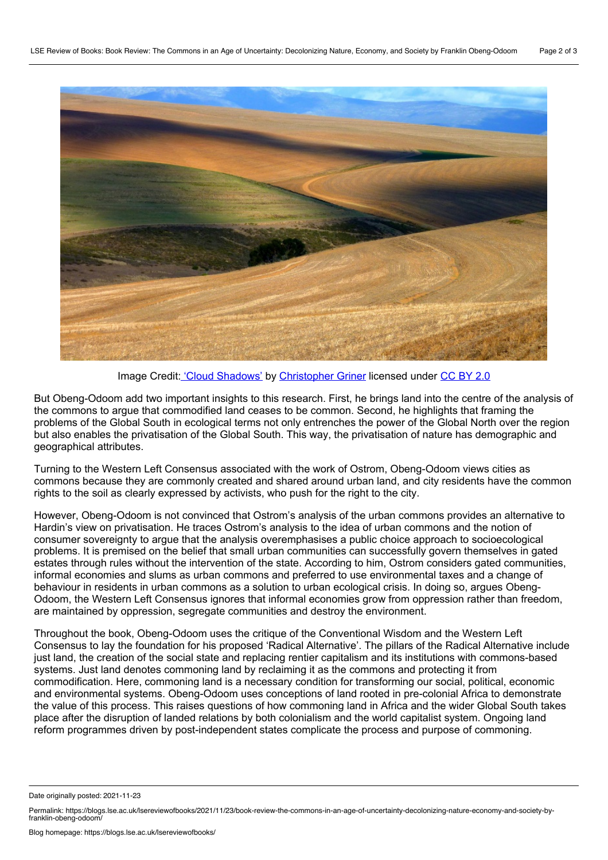

Image Credit: 'Cloud [Shadows'](https://flickr.com/photos/air_traveller/13634439154/) by [Christopher](https://flickr.com/photos/air_traveller/) Griner licensed under [CC](https://creativecommons.org/licenses/by/2.0/) BY 2.0

But Obeng-Odoom add two important insights to this research. First, he brings land into the centre of the analysis of the commons to argue that commodified land ceases to be common. Second, he highlights that framing the problems of the Global South in ecological terms not only entrenches the power of the Global North over the region but also enables the privatisation of the Global South. This way, the privatisation of nature has demographic and geographical attributes.

Turning to the Western Left Consensus associated with the work of Ostrom, Obeng-Odoom views cities as commons because they are commonly created and shared around urban land, and city residents have the common rights to the soil as clearly expressed by activists, who push for the right to the city.

However, Obeng-Odoom is not convinced that Ostrom's analysis of the urban commons provides an alternative to Hardin's view on privatisation. He traces Ostrom's analysis to the idea of urban commons and the notion of consumer sovereignty to argue that the analysis overemphasises a public choice approach to socioecological problems. It is premised on the belief that small urban communities can successfully govern themselves in gated estates through rules without the intervention of the state. According to him, Ostrom considers gated communities, informal economies and slums as urban commons and preferred to use environmental taxes and a change of behaviour in residents in urban commons as a solution to urban ecological crisis. In doing so, argues Obeng- Odoom, the Western Left Consensus ignores that informal economies grow from oppression rather than freedom, are maintained by oppression, segregate communities and destroy the environment.

Throughout the book, Obeng-Odoom uses the critique of the Conventional Wisdom and the Western Left Consensus to lay the foundation for his proposed 'Radical Alternative'. The pillars of the Radical Alternative include just land, the creation of the social state and replacing rentier capitalism and its institutions with commons-based systems. Just land denotes commoning land by reclaiming it as the commons and protecting it from commodification. Here, commoning land is a necessary condition for transforming our social, political, economic and environmental systems. Obeng-Odoom uses conceptions of land rooted in pre-colonial Africa to demonstrate the value of this process. This raises questions of how commoning land in Africa and the wider Global South takes place after the disruption of landed relations by both colonialism and the world capitalist system. Ongoing land reform programmes driven by post-independent states complicate the process and purpose of commoning.

Date originally posted: 2021-11-23

Permalink: https://blogs.lse.ac.uk/lsereviewofbooks/2021/11/23/book-review-the-commons-in-an-age-of-uncertainty-decolonizing-nature-economy-and-society-byfranklin-obeng-odoom